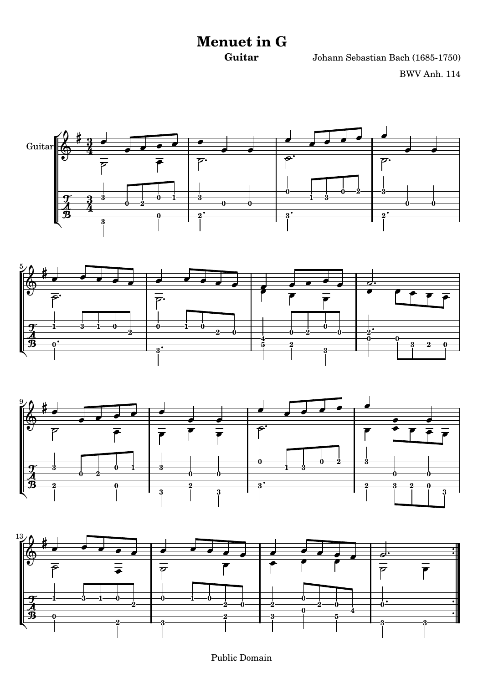## **Menuet in G**

**Guitar** Johann Sebastian Bach (1685-1750) BWV Anh. 114









Public Domain